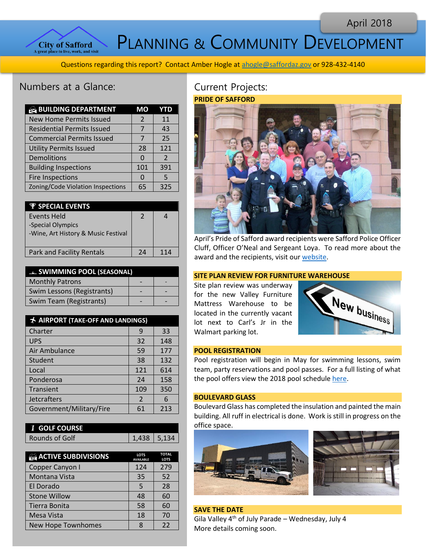April 2018



PLANNING & COMMUNITY DEVELOPMENT

Questions regarding this report? Contact Amber Hogle a[t ahogle@saffordaz.gov](mailto:ahogle@saffordaz.gov) or 928-432-4140

# Numbers at a Glance:

| <b>BUILDING DEPARTMENT</b>        | МO       | YTD           |
|-----------------------------------|----------|---------------|
| <b>New Home Permits Issued</b>    | 2        | 11            |
| <b>Residential Permits Issued</b> | 7        | 43            |
| <b>Commercial Permits Issued</b>  | 7        | 25            |
| <b>Utility Permits Issued</b>     | 28       | 121           |
| Demolitions                       | 0        | $\mathcal{P}$ |
| <b>Building Inspections</b>       | 101      | 391           |
| <b>Fire Inspections</b>           | $\Omega$ | .5            |
| Zoning/Code Violation Inspections | 65       | 325           |

| $\Psi$ SPECIAL EVENTS               |    |                 |
|-------------------------------------|----|-----------------|
| <b>Events Held</b>                  | 2  |                 |
| -Special Olympics                   |    |                 |
| -Wine, Art History & Music Festival |    |                 |
|                                     |    |                 |
| <b>Park and Facility Rentals</b>    | 74 | 11 <sub>4</sub> |
|                                     |    |                 |

| <b>EL SWIMMING POOL (SEASONAL)</b> |  |  |
|------------------------------------|--|--|
| <b>Monthly Patrons</b>             |  |  |
| Swim Lessons (Registrants)         |  |  |
| Swim Team (Registrants)            |  |  |

| <b>★ AIRPORT (TAKE-OFF AND LANDINGS)</b> |                |     |
|------------------------------------------|----------------|-----|
| Charter                                  | 9              | 33  |
| <b>UPS</b>                               | 32             | 148 |
| Air Ambulance                            | 59             | 177 |
| Student                                  | 38             | 132 |
| Local                                    | 121            | 614 |
| Ponderosa                                | 24             | 158 |
| Transient                                | 109            | 350 |
| Jetcrafters                              | $\overline{2}$ | 6   |
| Government/Military/Fire                 | 61             | 213 |

| <b><i>i</i></b> GOLF COURSE |               |
|-----------------------------|---------------|
| Rounds of Golf              | 1,438   5,134 |

| <b>ACTIVE SUBDIVISIONS</b> | <b>LOTS</b><br><b>AVAILABLE</b> | <b>TOTAL</b><br><b>LOTS</b> |
|----------------------------|---------------------------------|-----------------------------|
| Copper Canyon I            | 124                             | 279                         |
| Montana Vista              | 35                              | 52                          |
| El Dorado                  | 5                               | 28                          |
| <b>Stone Willow</b>        | 48                              | 60                          |
| Tierra Bonita              | 58                              | 60                          |
| Mesa Vista                 | 18                              | 70                          |
| New Hope Townhomes         | Я                               | 22                          |

## Current Projects: **PRIDE OF SAFFORD**



April's Pride of Safford award recipients were Safford Police Officer Cluff, Officer O'Neal and Sergeant Loya. To read more about the award and the recipients, visit our [website.](http://www.cityofsafford.us/index.aspx?nid=288)

## **SITE PLAN REVIEW FOR FURNITURE WAREHOUSE**

Site plan review was underway for the new Valley Furniture Mattress Warehouse to be located in the currently vacant lot next to Carl's Jr in the Walmart parking lot.



## **POOL REGISTRATION**

Pool registration will begin in May for swim[ming lesson](https://creativecommons.org/licenses/by-nc-sa/2.0/)s, swim team, party reservations and pool passes. For a full listing of what the pool offers view the 2018 pool schedule [here.](http://cityofsafford.us/DocumentCenter/View/1151/Pool-Schedule-2018)

#### **BOULEVARD GLASS**

Boulevard Glass has completed the insulation and painted the main building. All ruff in electrical is done. Work is still in progress on the office space.



**SAVE THE DATE** Gila Valley  $4^{th}$  of July Parade – Wednesday, July 4 More details coming soon.